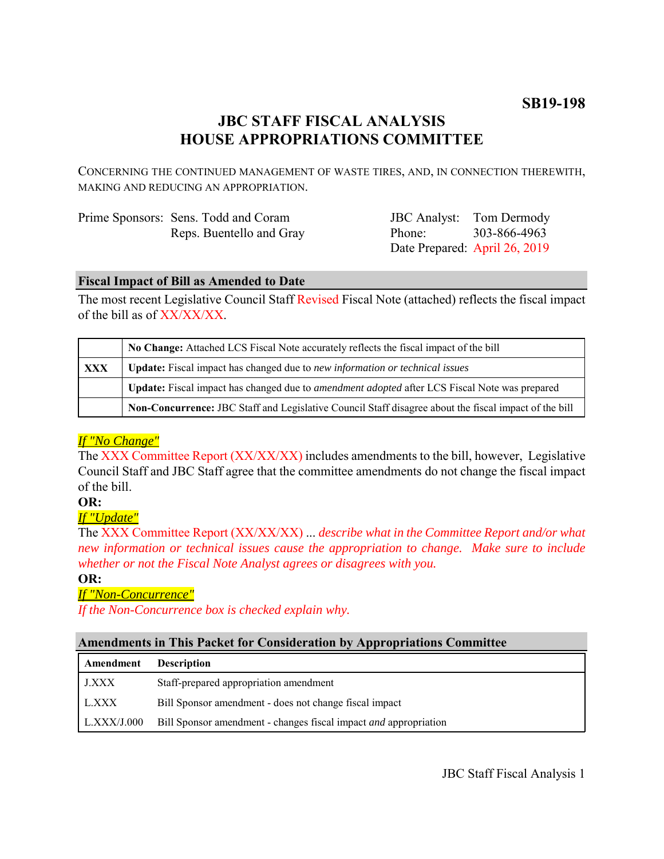# **JBC STAFF FISCAL ANALYSIS HOUSE APPROPRIATIONS COMMITTEE**

CONCERNING THE CONTINUED MANAGEMENT OF WASTE TIRES, AND, IN CONNECTION THEREWITH, MAKING AND REDUCING AN APPROPRIATION.

| Prime Sponsors: Sens. Todd and Coram |
|--------------------------------------|
| Reps. Buentello and Gray             |

JBC Analyst: Tom Dermody Phone: Date Prepared: April 26, 2019 303-866-4963

## **Fiscal Impact of Bill as Amended to Date**

The most recent Legislative Council Staff Revised Fiscal Note (attached) reflects the fiscal impact of the bill as of XX/XX/XX.

|            | No Change: Attached LCS Fiscal Note accurately reflects the fiscal impact of the bill                 |  |
|------------|-------------------------------------------------------------------------------------------------------|--|
| <b>XXX</b> | <b>Update:</b> Fiscal impact has changed due to new information or technical issues                   |  |
|            | Update: Fiscal impact has changed due to <i>amendment adopted</i> after LCS Fiscal Note was prepared  |  |
|            | Non-Concurrence: JBC Staff and Legislative Council Staff disagree about the fiscal impact of the bill |  |

## *If "No Change"*

The XXX Committee Report (XX/XX/XX) includes amendments to the bill, however, Legislative Council Staff and JBC Staff agree that the committee amendments do not change the fiscal impact of the bill.

## **OR:**

*If "Update"*

The XXX Committee Report (XX/XX/XX) ... *describe what in the Committee Report and/or what new information or technical issues cause the appropriation to change. Make sure to include whether or not the Fiscal Note Analyst agrees or disagrees with you.*

## **OR:**

## *If "Non-Concurrence"*

*If the Non-Concurrence box is checked explain why.* 

## **Amendments in This Packet for Consideration by Appropriations Committee**

| Amendment          | <b>Description</b>                                                      |
|--------------------|-------------------------------------------------------------------------|
| <b>J.XXX</b>       | Staff-prepared appropriation amendment                                  |
| L.XXX              | Bill Sponsor amendment - does not change fiscal impact                  |
| $\mid$ L.XXX/J.000 | Bill Sponsor amendment - changes fiscal impact <i>and</i> appropriation |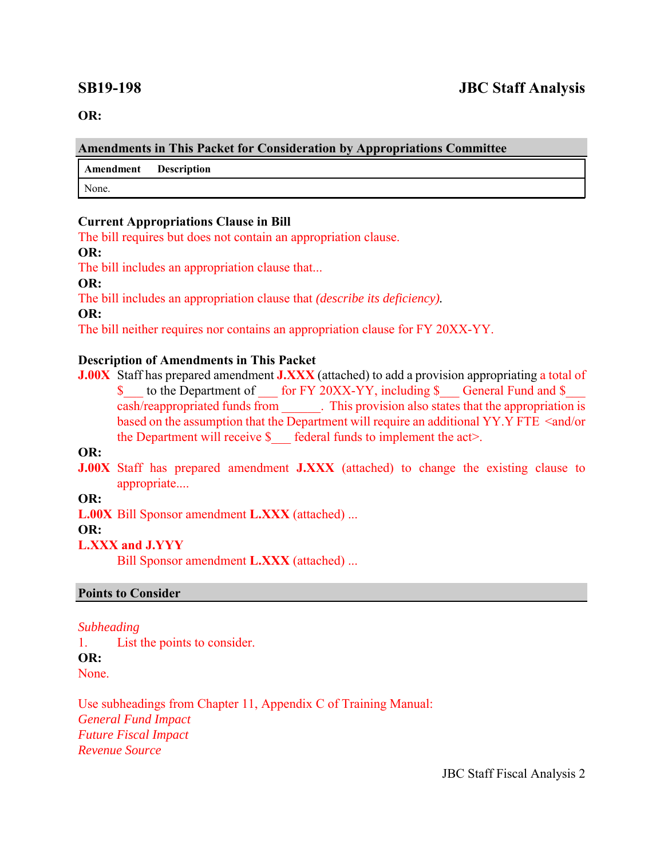**OR:**

#### **Amendments in This Packet for Consideration by Appropriations Committee**

**Amendment Description**

None.

### **Current Appropriations Clause in Bill**

The bill requires but does not contain an appropriation clause.

**OR:**

The bill includes an appropriation clause that...

**OR:**

The bill includes an appropriation clause that *(describe its deficiency).*

**OR:**

The bill neither requires nor contains an appropriation clause for FY 20XX-YY.

### **Description of Amendments in This Packet**

**J.00X** Staff has prepared amendment **J.XXX** (attached) to add a provision appropriating a total of \$ to the Department of for FY 20XX-YY, including \$ General Fund and \$ cash/reappropriated funds from \_\_\_\_\_\_. This provision also states that the appropriation is based on the assumption that the Department will require an additional YY.Y FTE <and/or the Department will receive  $\S$  federal funds to implement the act>.

**OR:**

**J.00X** Staff has prepared amendment **J.XXX** (attached) to change the existing clause to appropriate....

**OR:**

**L.00X** Bill Sponsor amendment **L.XXX** (attached) ...

**OR:**

## **L.XXX and J.YYY**

Bill Sponsor amendment **L.XXX** (attached) ...

## **Points to Consider**

#### *Subheading*

1. List the points to consider. **OR:** None.

Use subheadings from Chapter 11, Appendix C of Training Manual: *General Fund Impact Future Fiscal Impact Revenue Source* 

JBC Staff Fiscal Analysis 2